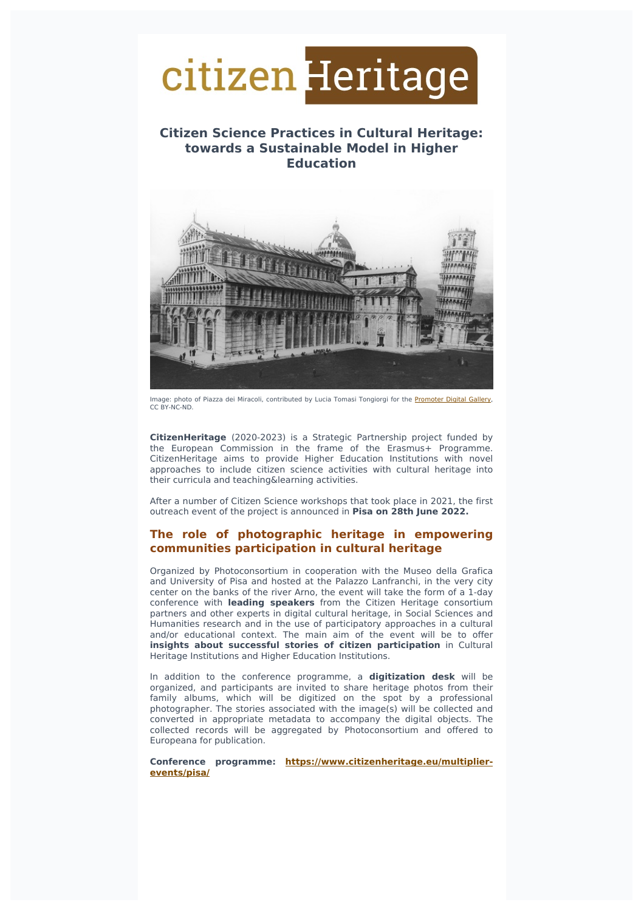

# **Citizen Science Practices in Cultural Heritage: towards a Sustainable Model in Higher Education**



Image: photo of Piazza dei Miracoli, contributed by Lucia Tomasi Tongiorgi for the [Promoter](https://digitalgallery.promoter.it/items/show/1723) Digital Gallery, CC BY-NC-ND.

**CitizenHeritage** (2020-2023) is a Strategic Partnership project funded by the European Commission in the frame of the Erasmus+ Programme. CitizenHeritage aims to provide Higher Education Institutions with novel approaches to include citizen science activities with cultural heritage into their curricula and teaching&learning activities.

After a number of Citizen Science workshops that took place in 2021, the first outreach event of the project is announced in **Pisa on 28th June 2022.**

## **The role of photographic heritage in empowering communities participation in cultural heritage**

Organized by Photoconsortium in cooperation with the Museo della Grafica and University of Pisa and hosted at the Palazzo Lanfranchi, in the very city center on the banks of the river Arno, the event will take the form of a 1-day conference with **leading speakers** from the Citizen Heritage consortium partners and other experts in digital cultural heritage, in Social Sciences and Humanities research and in the use of participatory approaches in a cultural and/or educational context. The main aim of the event will be to offer **insights about successful stories of citizen participation** in Cultural Heritage Institutions and Higher Education Institutions.

In addition to the conference programme, a **digitization desk** will be organized, and participants are invited to share heritage photos from their family albums, which will be digitized on the spot by a professional photographer. The stories associated with the image(s) will be collected and converted in appropriate metadata to accompany the digital objects. The collected records will be aggregated by Photoconsortium and offered to Europeana for publication.

**Conference programme: [https://www.citizenheritage.eu/multiplier](https://www.citizenheritage.eu/multiplier-events/pisa/)events/pisa/**